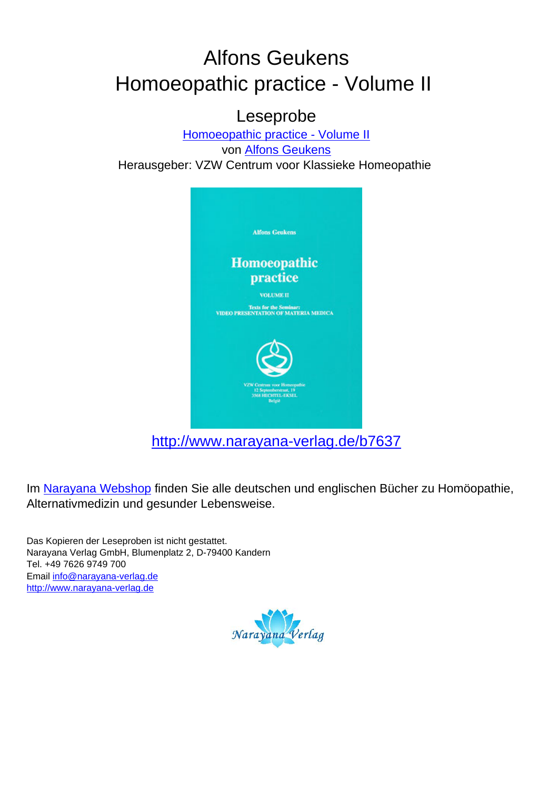## Alfons Geukens Homoeopathic practice - Volume II

## Leseprobe

[Homoeopathic practice - Volume II](http://www.narayana-verlag.de/Homoeopathic-practice-Volume-II-Alfons-Geukens/b7637/partner/leseprobe) von [Alfons Geukens](http://www.narayana-verlag.de/Alfons-Geukens/a276/partner/leseprobe) Herausgeber: VZW Centrum voor Klassieke Homeopathie



[http://www.narayana-verlag.de/b7637](http://www.narayana-verlag.de/Homoeopathic-practice-Volume-II-Alfons-Geukens/b7637/partner/leseprobe)

Im [Narayana Webshop](http://www.narayana-verlag.de/partner/leseprobe) finden Sie alle deutschen und englischen Bücher zu Homöopathie, Alternativmedizin und gesunder Lebensweise.

Das Kopieren der Leseproben ist nicht gestattet. Narayana Verlag GmbH, Blumenplatz 2, D-79400 Kandern Tel. +49 7626 9749 700 Email [info@narayana-verlag.de](mailto:info@narayana-verlag.de) [http://www.narayana-verlag.de](http://www.narayana-verlag.de/partner/leseprobe)

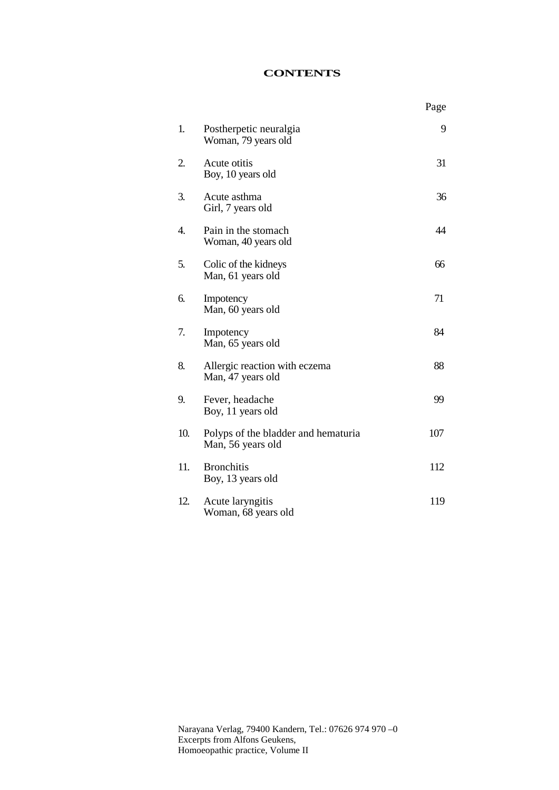## **CONTENTS**

|     |                                                          | Page |
|-----|----------------------------------------------------------|------|
| 1.  | Postherpetic neuralgia<br>Woman, 79 years old            | 9    |
| 2.  | Acute otitis<br>Boy, 10 years old                        | 31   |
| 3.  | Acute asthma<br>Girl, 7 years old                        | 36   |
| 4.  | Pain in the stomach<br>Woman, 40 years old               | 44   |
| 5.  | Colic of the kidneys<br>Man, 61 years old                | 66   |
| 6.  | Impotency<br>Man, 60 years old                           | 71   |
| 7.  | Impotency<br>Man, 65 years old                           | 84   |
| 8.  | Allergic reaction with eczema<br>Man, 47 years old       | 88   |
| 9.  | Fever, headache<br>Boy, 11 years old                     | 99   |
| 10. | Polyps of the bladder and hematuria<br>Man, 56 years old | 107  |
| 11. | <b>Bronchitis</b><br>Boy, 13 years old                   | 112  |
| 12. | Acute laryngitis<br>Woman, 68 years old                  | 119  |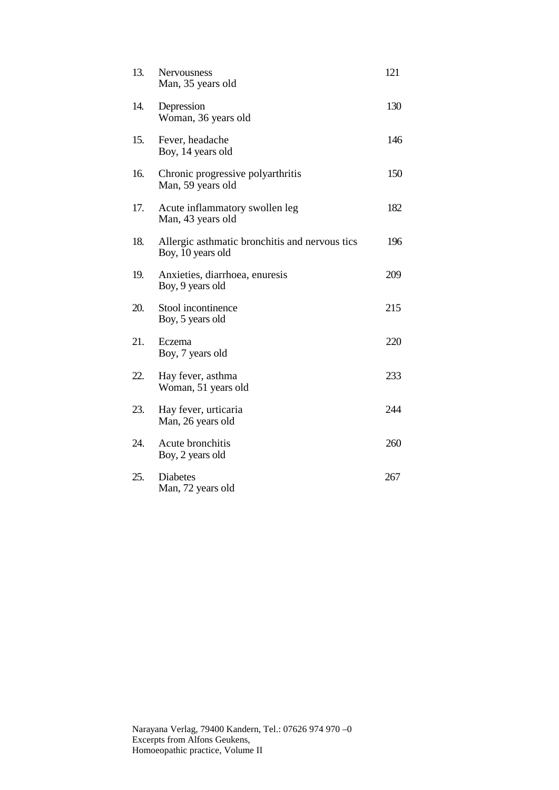| 13. | Nervousness<br>Man, 35 years old                                    | 121 |
|-----|---------------------------------------------------------------------|-----|
| 14. | Depression<br>Woman, 36 years old                                   | 130 |
| 15. | Fever, headache<br>Boy, 14 years old                                | 146 |
| 16. | Chronic progressive polyarthritis<br>Man, 59 years old              | 150 |
| 17. | Acute inflammatory swollen leg<br>Man, 43 years old                 | 182 |
| 18. | Allergic asthmatic bronchitis and nervous tics<br>Boy, 10 years old | 196 |
| 19. | Anxieties, diarrhoea, enuresis<br>Boy, 9 years old                  | 209 |
| 20. | Stool incontinence<br>Boy, 5 years old                              | 215 |
| 21. | Eczema<br>Boy, 7 years old                                          | 220 |
| 22. | Hay fever, asthma<br>Woman, 51 years old                            | 233 |
| 23. | Hay fever, urticaria<br>Man, 26 years old                           | 244 |
| 24. | Acute bronchitis<br>Boy, 2 years old                                | 260 |
| 25. | <b>Diabetes</b><br>Man, 72 years old                                | 267 |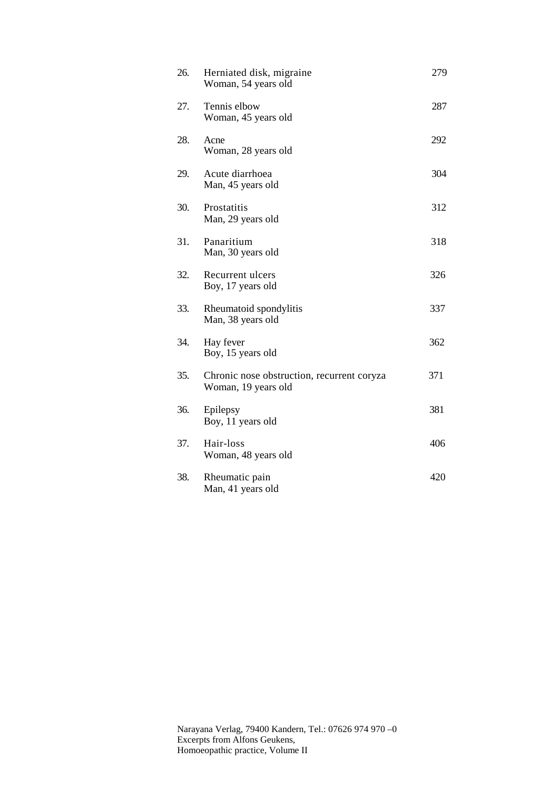| 26. | Herniated disk, migraine<br>Woman, 54 years old                   | 279 |
|-----|-------------------------------------------------------------------|-----|
| 27. | Tennis elbow<br>Woman, 45 years old                               | 287 |
| 28. | Acne<br>Woman, 28 years old                                       | 292 |
| 29. | Acute diarrhoea<br>Man, 45 years old                              | 304 |
| 30. | Prostatitis<br>Man, 29 years old                                  | 312 |
| 31. | Panaritium<br>Man, 30 years old                                   | 318 |
| 32. | Recurrent ulcers<br>Boy, 17 years old                             | 326 |
| 33. | Rheumatoid spondylitis<br>Man, 38 years old                       | 337 |
| 34. | Hay fever<br>Boy, 15 years old                                    | 362 |
| 35. | Chronic nose obstruction, recurrent coryza<br>Woman, 19 years old | 371 |
| 36. | Epilepsy<br>Boy, 11 years old                                     | 381 |
| 37. | Hair-loss<br>Woman, 48 years old                                  | 406 |
| 38. | Rheumatic pain<br>Man, 41 years old                               | 420 |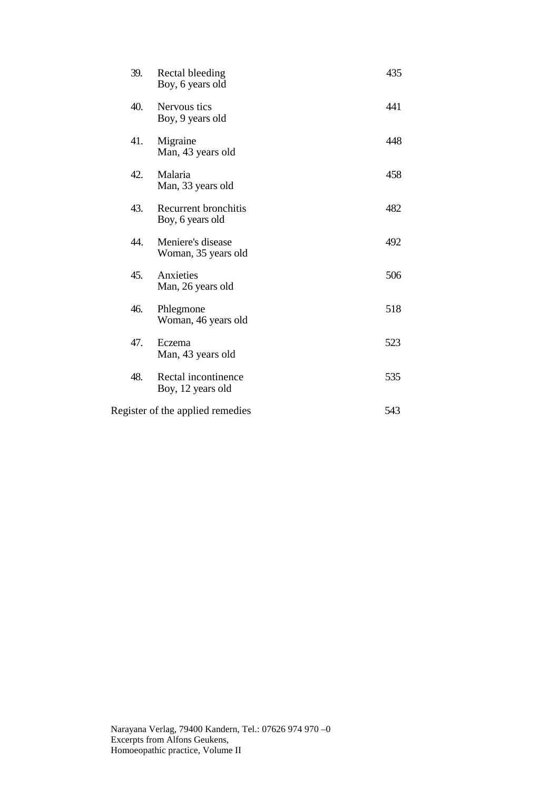| 39.                              | Rectal bleeding<br>Boy, 6 years old      | 435 |
|----------------------------------|------------------------------------------|-----|
| 40.                              | Nervous tics<br>Boy, 9 years old         | 441 |
| 41.                              | Migraine<br>Man, 43 years old            | 448 |
| 42.                              | Malaria<br>Man, 33 years old             | 458 |
| 43.                              | Recurrent bronchitis<br>Boy, 6 years old | 482 |
| 44.                              | Meniere's disease<br>Woman, 35 years old | 492 |
| 45.                              | Anxieties<br>Man, 26 years old           | 506 |
| 46.                              | Phlegmone<br>Woman, 46 years old         | 518 |
| 47.                              | Eczema<br>Man, 43 years old              | 523 |
| 48.                              | Rectal incontinence<br>Boy, 12 years old | 535 |
| Register of the applied remedies |                                          | 543 |